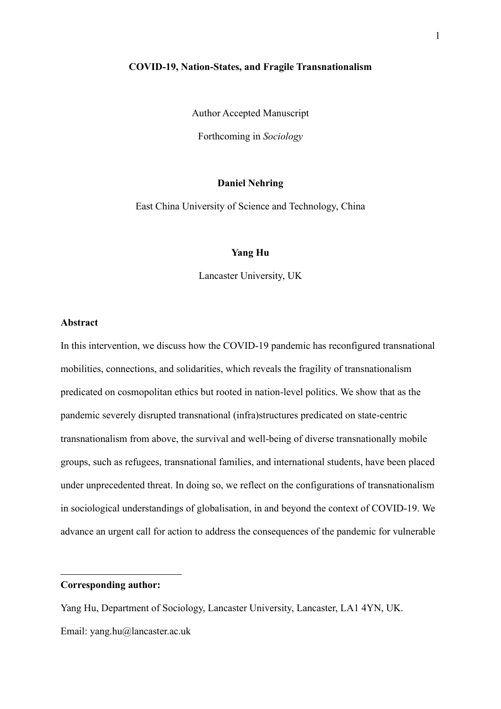#### **COVID-19, Nation-States, and Fragile Transnationalism**

Author Accepted Manuscript

Forthcoming in *Sociology*

# **Daniel Nehring**

East China University of Science and Technology, China

### **Yang Hu**

Lancaster University, UK

#### **Abstract**

In this intervention, we discuss how the COVID-19 pandemic has reconfigured transnational mobilities, connections, and solidarities, which reveals the fragility of transnationalism predicated on cosmopolitan ethics but rooted in nation-level politics. We show that as the pandemic severely disrupted transnational (infra)structures predicated on state-centric transnationalism from above, the survival and well-being of diverse transnationally mobile groups, such as refugees, transnational families, and international students, have been placed under unprecedented threat. In doing so, we reflect on the configurations of transnationalism in sociological understandings of globalisation, in and beyond the context of COVID-19. We advance an urgent call for action to address the consequences of the pandemic for vulnerable

# **Corresponding author:**

Yang Hu, Department of Sociology, Lancaster University, Lancaster, LA1 4YN, UK. Email: yang.hu@lancaster.ac.uk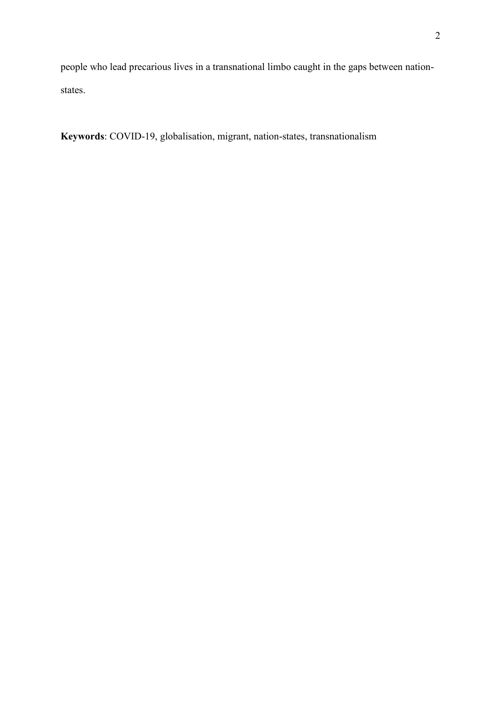people who lead precarious lives in a transnational limbo caught in the gaps between nationstates.

**Keywords**: COVID-19, globalisation, migrant, nation-states, transnationalism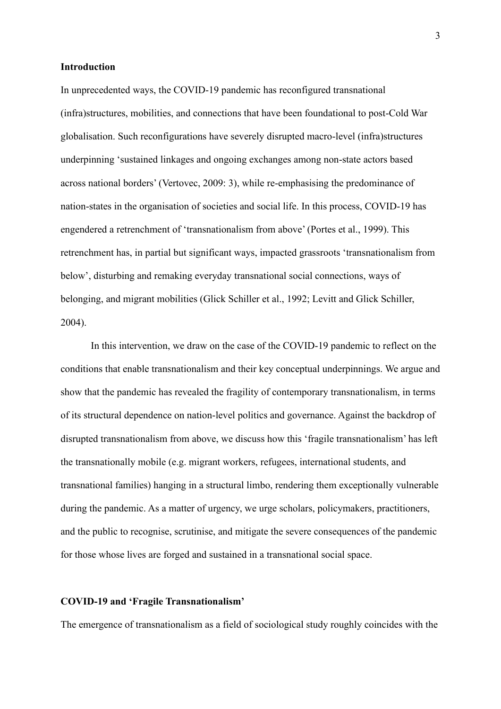#### **Introduction**

In unprecedented ways, the COVID-19 pandemic has reconfigured transnational (infra)structures, mobilities, and connections that have been foundational to post-Cold War globalisation. Such reconfigurations have severely disrupted macro-level (infra)structures underpinning 'sustained linkages and ongoing exchanges among non-state actors based across national borders' (Vertovec, 2009: 3), while re-emphasising the predominance of nation-states in the organisation of societies and social life. In this process, COVID-19 has engendered a retrenchment of 'transnationalism from above' (Portes et al., 1999). This retrenchment has, in partial but significant ways, impacted grassroots 'transnationalism from below', disturbing and remaking everyday transnational social connections, ways of belonging, and migrant mobilities (Glick Schiller et al., 1992; Levitt and Glick Schiller, 2004).

In this intervention, we draw on the case of the COVID-19 pandemic to reflect on the conditions that enable transnationalism and their key conceptual underpinnings. We argue and show that the pandemic has revealed the fragility of contemporary transnationalism, in terms of its structural dependence on nation-level politics and governance. Against the backdrop of disrupted transnationalism from above, we discuss how this 'fragile transnationalism' has left the transnationally mobile (e.g. migrant workers, refugees, international students, and transnational families) hanging in a structural limbo, rendering them exceptionally vulnerable during the pandemic. As a matter of urgency, we urge scholars, policymakers, practitioners, and the public to recognise, scrutinise, and mitigate the severe consequences of the pandemic for those whose lives are forged and sustained in a transnational social space.

### **COVID-19 and 'Fragile Transnationalism'**

The emergence of transnationalism as a field of sociological study roughly coincides with the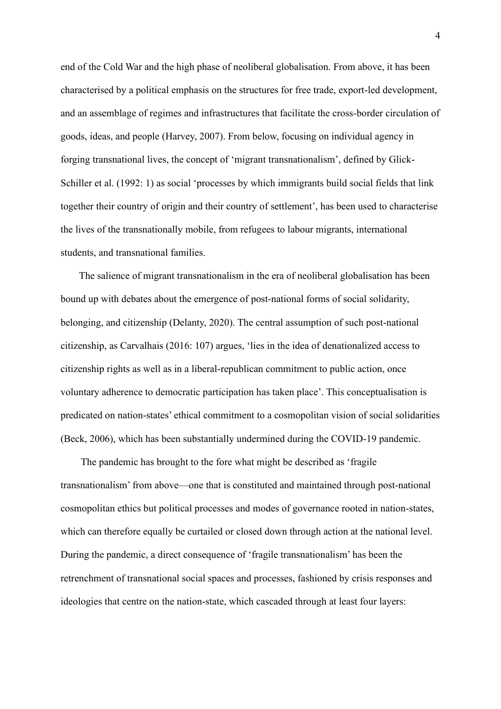end of the Cold War and the high phase of neoliberal globalisation. From above, it has been characterised by a political emphasis on the structures for free trade, export-led development, and an assemblage of regimes and infrastructures that facilitate the cross-border circulation of goods, ideas, and people (Harvey, 2007). From below, focusing on individual agency in forging transnational lives, the concept of 'migrant transnationalism', defined by Glick-Schiller et al. (1992: 1) as social 'processes by which immigrants build social fields that link together their country of origin and their country of settlement', has been used to characterise the lives of the transnationally mobile, from refugees to labour migrants, international students, and transnational families.

The salience of migrant transnationalism in the era of neoliberal globalisation has been bound up with debates about the emergence of post-national forms of social solidarity, belonging, and citizenship (Delanty, 2020). The central assumption of such post-national citizenship, as Carvalhais (2016: 107) argues, 'lies in the idea of denationalized access to citizenship rights as well as in a liberal-republican commitment to public action, once voluntary adherence to democratic participation has taken place'. This conceptualisation is predicated on nation-states' ethical commitment to a cosmopolitan vision of social solidarities (Beck, 2006), which has been substantially undermined during the COVID-19 pandemic.

The pandemic has brought to the fore what might be described as 'fragile transnationalism' from above—one that is constituted and maintained through post-national cosmopolitan ethics but political processes and modes of governance rooted in nation-states, which can therefore equally be curtailed or closed down through action at the national level. During the pandemic, a direct consequence of 'fragile transnationalism' has been the retrenchment of transnational social spaces and processes, fashioned by crisis responses and ideologies that centre on the nation-state, which cascaded through at least four layers: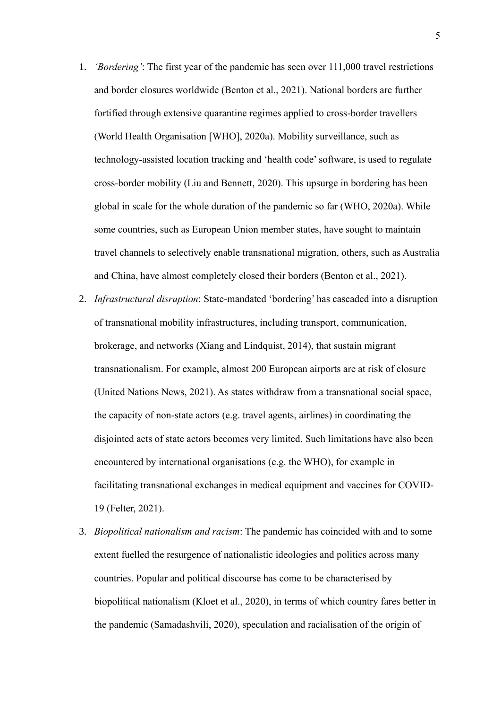- 1. *'Bordering'*: The first year of the pandemic has seen over 111,000 travel restrictions and border closures worldwide (Benton et al., 2021). National borders are further fortified through extensive quarantine regimes applied to cross-border travellers (World Health Organisation [WHO], 2020a). Mobility surveillance, such as technology-assisted location tracking and 'health code' software, is used to regulate cross-border mobility (Liu and Bennett, 2020). This upsurge in bordering has been global in scale for the whole duration of the pandemic so far (WHO, 2020a). While some countries, such as European Union member states, have sought to maintain travel channels to selectively enable transnational migration, others, such as Australia and China, have almost completely closed their borders (Benton et al., 2021).
- 2. *Infrastructural disruption*: State-mandated 'bordering' has cascaded into a disruption of transnational mobility infrastructures, including transport, communication, brokerage, and networks (Xiang and Lindquist, 2014), that sustain migrant transnationalism. For example, almost 200 European airports are at risk of closure (United Nations News, 2021). As states withdraw from a transnational social space, the capacity of non-state actors (e.g. travel agents, airlines) in coordinating the disjointed acts of state actors becomes very limited. Such limitations have also been encountered by international organisations (e.g. the WHO), for example in facilitating transnational exchanges in medical equipment and vaccines for COVID-19 (Felter, 2021).
- 3. *Biopolitical nationalism and racism*: The pandemic has coincided with and to some extent fuelled the resurgence of nationalistic ideologies and politics across many countries. Popular and political discourse has come to be characterised by biopolitical nationalism (Kloet et al., 2020), in terms of which country fares better in the pandemic (Samadashvili, 2020), speculation and racialisation of the origin of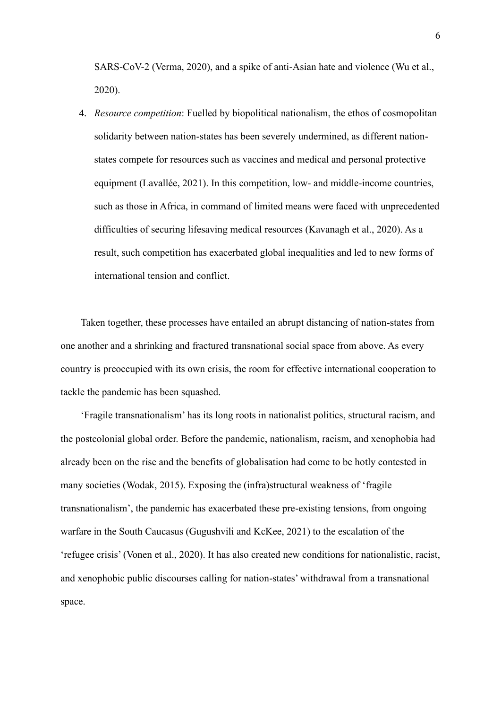SARS-CoV-2 (Verma, 2020), and a spike of anti-Asian hate and violence (Wu et al., 2020).

4. *Resource competition*: Fuelled by biopolitical nationalism, the ethos of cosmopolitan solidarity between nation-states has been severely undermined, as different nationstates compete for resources such as vaccines and medical and personal protective equipment (Lavallée, 2021). In this competition, low- and middle-income countries, such as those in Africa, in command of limited means were faced with unprecedented difficulties of securing lifesaving medical resources (Kavanagh et al., 2020). As a result, such competition has exacerbated global inequalities and led to new forms of international tension and conflict.

Taken together, these processes have entailed an abrupt distancing of nation-states from one another and a shrinking and fractured transnational social space from above. As every country is preoccupied with its own crisis, the room for effective international cooperation to tackle the pandemic has been squashed.

'Fragile transnationalism' has its long roots in nationalist politics, structural racism, and the postcolonial global order. Before the pandemic, nationalism, racism, and xenophobia had already been on the rise and the benefits of globalisation had come to be hotly contested in many societies (Wodak, 2015). Exposing the (infra)structural weakness of 'fragile transnationalism', the pandemic has exacerbated these pre-existing tensions, from ongoing warfare in the South Caucasus (Gugushvili and KcKee, 2021) to the escalation of the 'refugee crisis' (Vonen et al., 2020). It has also created new conditions for nationalistic, racist, and xenophobic public discourses calling for nation-states' withdrawal from a transnational space.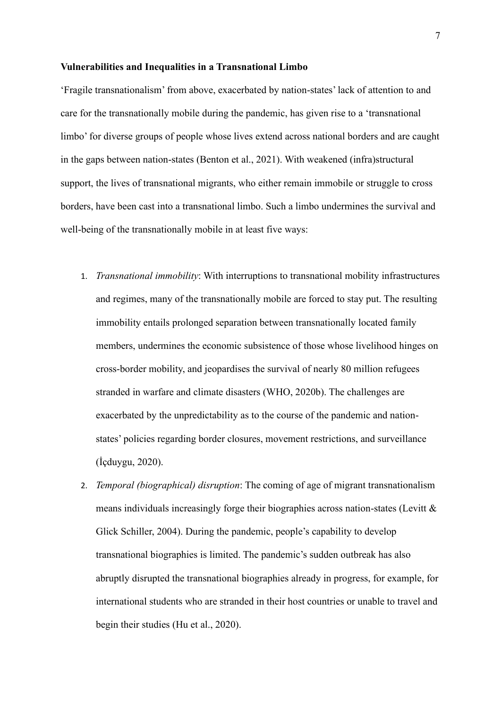#### **Vulnerabilities and Inequalities in a Transnational Limbo**

'Fragile transnationalism' from above, exacerbated by nation-states' lack of attention to and care for the transnationally mobile during the pandemic, has given rise to a 'transnational limbo' for diverse groups of people whose lives extend across national borders and are caught in the gaps between nation-states (Benton et al., 2021). With weakened (infra)structural support, the lives of transnational migrants, who either remain immobile or struggle to cross borders, have been cast into a transnational limbo. Such a limbo undermines the survival and well-being of the transnationally mobile in at least five ways:

- 1. *Transnational immobility*: With interruptions to transnational mobility infrastructures and regimes, many of the transnationally mobile are forced to stay put. The resulting immobility entails prolonged separation between transnationally located family members, undermines the economic subsistence of those whose livelihood hinges on cross-border mobility, and jeopardises the survival of nearly 80 million refugees stranded in warfare and climate disasters (WHO, 2020b). The challenges are exacerbated by the unpredictability as to the course of the pandemic and nationstates' policies regarding border closures, movement restrictions, and surveillance (İçduygu, 2020).
- 2. *Temporal (biographical) disruption*: The coming of age of migrant transnationalism means individuals increasingly forge their biographies across nation-states (Levitt & Glick Schiller, 2004). During the pandemic, people's capability to develop transnational biographies is limited. The pandemic's sudden outbreak has also abruptly disrupted the transnational biographies already in progress, for example, for international students who are stranded in their host countries or unable to travel and begin their studies (Hu et al., 2020).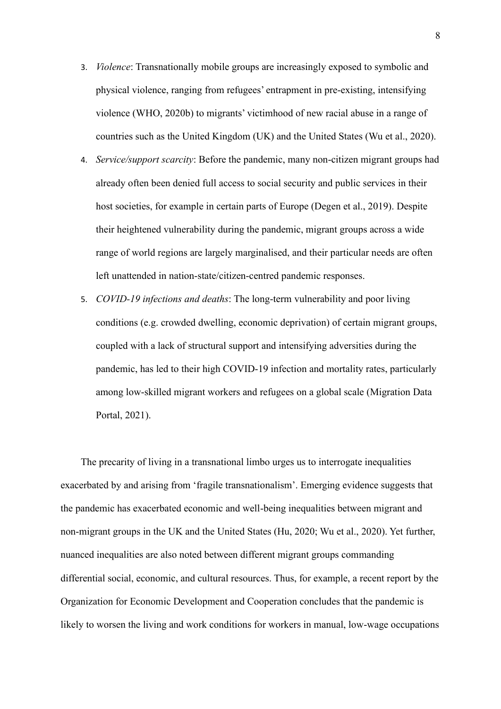- 3. *Violence*: Transnationally mobile groups are increasingly exposed to symbolic and physical violence, ranging from refugees' entrapment in pre-existing, intensifying violence (WHO, 2020b) to migrants' victimhood of new racial abuse in a range of countries such as the United Kingdom (UK) and the United States (Wu et al., 2020).
- 4. *Service/support scarcity*: Before the pandemic, many non-citizen migrant groups had already often been denied full access to social security and public services in their host societies, for example in certain parts of Europe (Degen et al., 2019). Despite their heightened vulnerability during the pandemic, migrant groups across a wide range of world regions are largely marginalised, and their particular needs are often left unattended in nation-state/citizen-centred pandemic responses.
- 5. *COVID-19 infections and deaths*: The long-term vulnerability and poor living conditions (e.g. crowded dwelling, economic deprivation) of certain migrant groups, coupled with a lack of structural support and intensifying adversities during the pandemic, has led to their high COVID-19 infection and mortality rates, particularly among low-skilled migrant workers and refugees on a global scale (Migration Data Portal, 2021).

The precarity of living in a transnational limbo urges us to interrogate inequalities exacerbated by and arising from 'fragile transnationalism'. Emerging evidence suggests that the pandemic has exacerbated economic and well-being inequalities between migrant and non-migrant groups in the UK and the United States (Hu, 2020; Wu et al., 2020). Yet further, nuanced inequalities are also noted between different migrant groups commanding differential social, economic, and cultural resources. Thus, for example, a recent report by the Organization for Economic Development and Cooperation concludes that the pandemic is likely to worsen the living and work conditions for workers in manual, low-wage occupations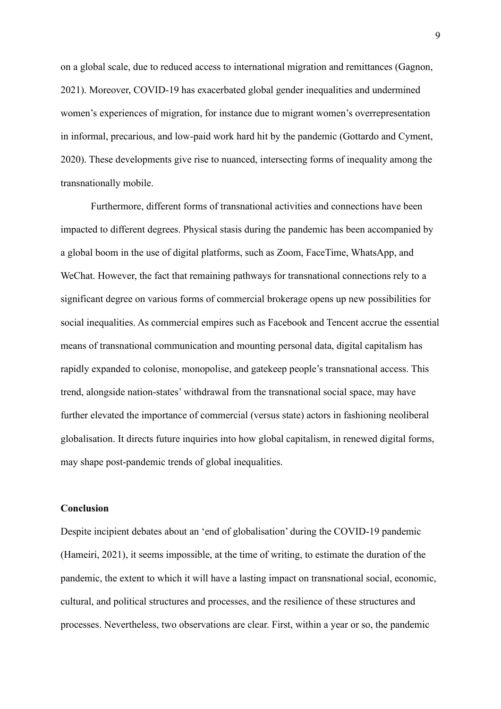on a global scale, due to reduced access to international migration and remittances (Gagnon, 2021). Moreover, COVID-19 has exacerbated global gender inequalities and undermined women's experiences of migration, for instance due to migrant women's overrepresentation in informal, precarious, and low-paid work hard hit by the pandemic (Gottardo and Cyment, 2020). These developments give rise to nuanced, intersecting forms of inequality among the transnationally mobile.

Furthermore, different forms of transnational activities and connections have been impacted to different degrees. Physical stasis during the pandemic has been accompanied by a global boom in the use of digital platforms, such as Zoom, FaceTime, WhatsApp, and WeChat. However, the fact that remaining pathways for transnational connections rely to a significant degree on various forms of commercial brokerage opens up new possibilities for social inequalities. As commercial empires such as Facebook and Tencent accrue the essential means of transnational communication and mounting personal data, digital capitalism has rapidly expanded to colonise, monopolise, and gatekeep people's transnational access. This trend, alongside nation-states' withdrawal from the transnational social space, may have further elevated the importance of commercial (versus state) actors in fashioning neoliberal globalisation. It directs future inquiries into how global capitalism, in renewed digital forms, may shape post-pandemic trends of global inequalities.

## **Conclusion**

Despite incipient debates about an 'end of globalisation' during the COVID-19 pandemic (Hameiri, 2021), it seems impossible, at the time of writing, to estimate the duration of the pandemic, the extent to which it will have a lasting impact on transnational social, economic, cultural, and political structures and processes, and the resilience of these structures and processes. Nevertheless, two observations are clear. First, within a year or so, the pandemic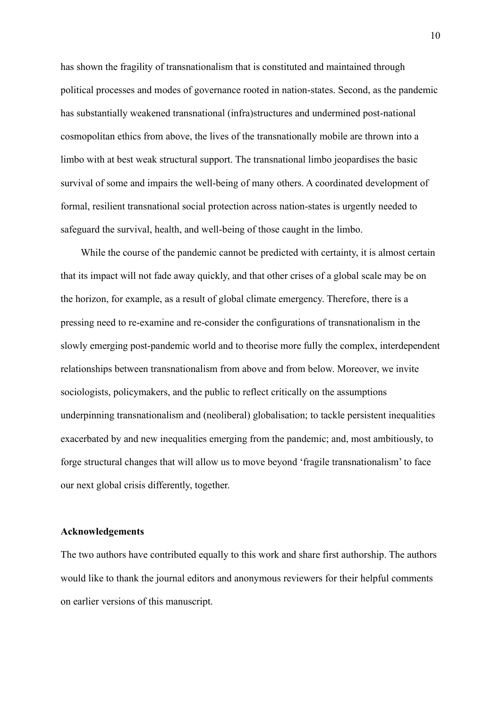has shown the fragility of transnationalism that is constituted and maintained through political processes and modes of governance rooted in nation-states. Second, as the pandemic has substantially weakened transnational (infra)structures and undermined post-national cosmopolitan ethics from above, the lives of the transnationally mobile are thrown into a limbo with at best weak structural support. The transnational limbo jeopardises the basic survival of some and impairs the well-being of many others. A coordinated development of formal, resilient transnational social protection across nation-states is urgently needed to safeguard the survival, health, and well-being of those caught in the limbo.

While the course of the pandemic cannot be predicted with certainty, it is almost certain that its impact will not fade away quickly, and that other crises of a global scale may be on the horizon, for example, as a result of global climate emergency. Therefore, there is a pressing need to re-examine and re-consider the configurations of transnationalism in the slowly emerging post-pandemic world and to theorise more fully the complex, interdependent relationships between transnationalism from above and from below. Moreover, we invite sociologists, policymakers, and the public to reflect critically on the assumptions underpinning transnationalism and (neoliberal) globalisation; to tackle persistent inequalities exacerbated by and new inequalities emerging from the pandemic; and, most ambitiously, to forge structural changes that will allow us to move beyond 'fragile transnationalism' to face our next global crisis differently, together.

## **Acknowledgements**

The two authors have contributed equally to this work and share first authorship. The authors would like to thank the journal editors and anonymous reviewers for their helpful comments on earlier versions of this manuscript.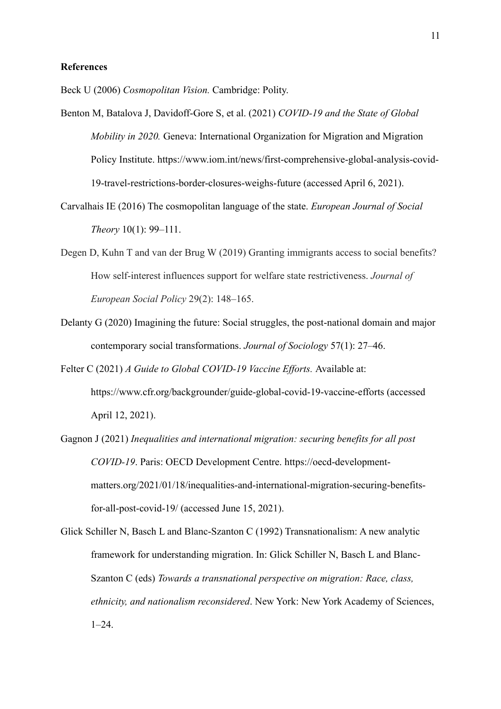### **References**

Beck U (2006) *Cosmopolitan Vision.* Cambridge: Polity.

- Benton M, Batalova J, Davidoff-Gore S, et al. (2021) *COVID-19 and the State of Global Mobility in 2020.* Geneva: International Organization for Migration and Migration Policy Institute. https://www.iom.int/news/first-comprehensive-global-analysis-covid-19-travel-restrictions-border-closures-weighs-future (accessed April 6, 2021).
- Carvalhais IE (2016) The cosmopolitan language of the state. *European Journal of Social Theory* 10(1): 99–111.
- Degen D, Kuhn T and van der Brug W (2019) Granting immigrants access to social benefits? How self-interest influences support for welfare state restrictiveness. *Journal of European Social Policy* 29(2): 148–165.
- Delanty G (2020) Imagining the future: Social struggles, the post-national domain and major contemporary social transformations. *Journal of Sociology* 57(1): 27–46.
- Felter C (2021) *A Guide to Global COVID-19 Vaccine Efforts.* Available at: https://www.cfr.org/backgrounder/guide-global-covid-19-vaccine-efforts (accessed April 12, 2021).
- Gagnon J (2021) *Inequalities and international migration: securing benefits for all post COVID-19*. Paris: OECD Development Centre. https://oecd-developmentmatters.org/2021/01/18/inequalities-and-international-migration-securing-benefitsfor-all-post-covid-19/ (accessed June 15, 2021).
- Glick Schiller N, Basch L and Blanc-Szanton C (1992) Transnationalism: A new analytic framework for understanding migration. In: Glick Schiller N, Basch L and Blanc-Szanton C (eds) *Towards a transnational perspective on migration: Race, class, ethnicity, and nationalism reconsidered*. New York: New York Academy of Sciences, 1–24.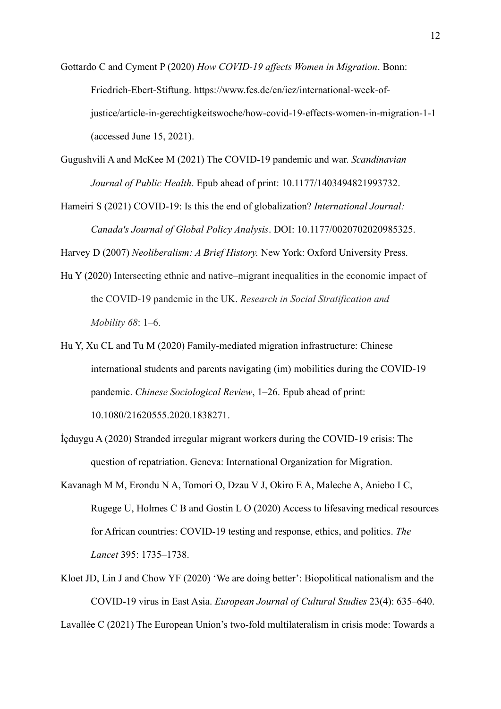Gottardo C and Cyment P (2020) *How COVID-19 affects Women in Migration*. Bonn: Friedrich-Ebert-Stiftung. https://www.fes.de/en/iez/international-week-ofjustice/article-in-gerechtigkeitswoche/how-covid-19-effects-women-in-migration-1-1 (accessed June 15, 2021).

Gugushvili A and McKee M (2021) The COVID-19 pandemic and war. *Scandinavian Journal of Public Health*. Epub ahead of print: 10.1177/1403494821993732.

Hameiri S (2021) COVID-19: Is this the end of globalization? *International Journal: Canada's Journal of Global Policy Analysis*. DOI: 10.1177/0020702020985325.

Harvey D (2007) *Neoliberalism: A Brief History.* New York: Oxford University Press.

- Hu Y (2020) Intersecting ethnic and native–migrant inequalities in the economic impact of the COVID-19 pandemic in the UK. *Research in Social Stratification and Mobility 68*: 1–6.
- Hu Y, Xu CL and Tu M (2020) Family-mediated migration infrastructure: Chinese international students and parents navigating (im) mobilities during the COVID-19 pandemic. *Chinese Sociological Review*, 1–26. Epub ahead of print: [10.1080/21620555.2020.1838271.](https://doi.org/10.1080/21620555.2020.1838271)
- İçduygu A (2020) Stranded irregular migrant workers during the COVID-19 crisis: The question of repatriation. Geneva: International Organization for Migration.
- Kavanagh M M, Erondu N A, Tomori O, Dzau V J, Okiro E A, Maleche A, Aniebo I C, Rugege U, Holmes C B and Gostin L O (2020) Access to lifesaving medical resources for African countries: COVID-19 testing and response, ethics, and politics. *The Lancet* 395: 1735–1738.
- Kloet JD, Lin J and Chow YF (2020) 'We are doing better': Biopolitical nationalism and the COVID-19 virus in East Asia. *European Journal of Cultural Studies* 23(4): 635–640.

Lavallée C (2021) The European Union's two-fold multilateralism in crisis mode: Towards a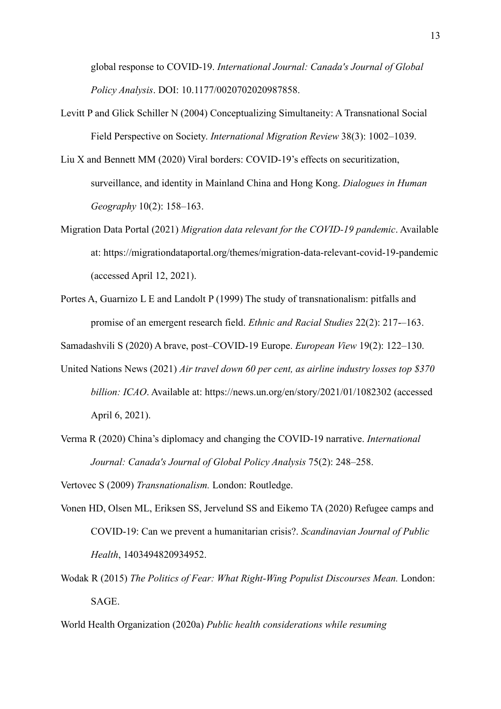global response to COVID-19. *International Journal: Canada's Journal of Global Policy Analysis*. DOI: 10.1177/0020702020987858.

- Levitt P and Glick Schiller N (2004) Conceptualizing Simultaneity: A Transnational Social Field Perspective on Society. *International Migration Review* 38(3): 1002–1039.
- Liu X and Bennett MM (2020) Viral borders: COVID-19's effects on securitization, surveillance, and identity in Mainland China and Hong Kong. *Dialogues in Human Geography* 10(2): 158–163.
- Migration Data Portal (2021) *Migration data relevant for the COVID-19 pandemic*. Available at: https://migrationdataportal.org/themes/migration-data-relevant-covid-19-pandemic (accessed April 12, 2021).
- Portes A, Guarnizo L E and Landolt P (1999) The study of transnationalism: pitfalls and promise of an emergent research field. *Ethnic and Racial Studies* 22(2): 217-–163.

Samadashvili S (2020) A brave, post–COVID-19 Europe. *European View* 19(2): 122–130.

- United Nations News (2021) *Air travel down 60 per cent, as airline industry losses top \$370 billion: ICAO*. Available at: https://news.un.org/en/story/2021/01/1082302 (accessed April 6, 2021).
- Verma R (2020) China's diplomacy and changing the COVID-19 narrative. *International Journal: Canada's Journal of Global Policy Analysis* 75(2): 248–258.

Vertovec S (2009) *Transnationalism.* London: Routledge.

- Vonen HD, Olsen ML, Eriksen SS, Jervelund SS and Eikemo TA (2020) Refugee camps and COVID-19: Can we prevent a humanitarian crisis?. *Scandinavian Journal of Public Health*, 1403494820934952.
- Wodak R (2015) *The Politics of Fear: What Right-Wing Populist Discourses Mean.* London: SAGE.

World Health Organization (2020a) *Public health considerations while resuming*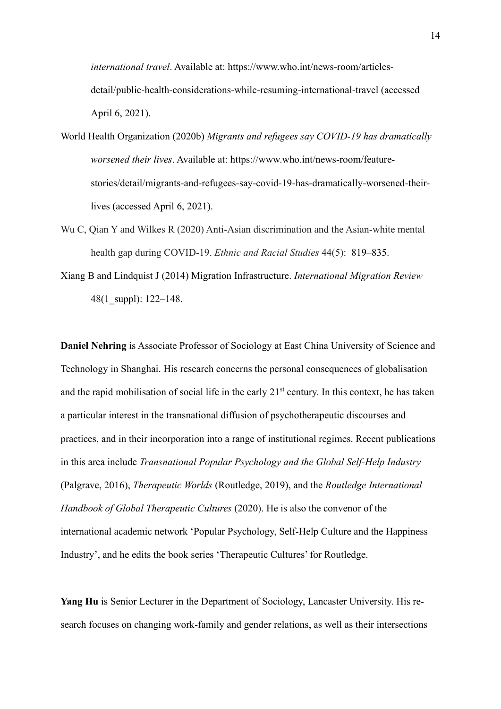*international travel*. Available at: https://www.who.int/news-room/articlesdetail/public-health-considerations-while-resuming-international-travel (accessed April 6, 2021).

- World Health Organization (2020b) *Migrants and refugees say COVID-19 has dramatically worsened their lives*. Available at: https://www.who.int/news-room/featurestories/detail/migrants-and-refugees-say-covid-19-has-dramatically-worsened-theirlives (accessed April 6, 2021).
- Wu C, Qian Y and Wilkes R (2020) Anti-Asian discrimination and the Asian-white mental health gap during COVID-19. *Ethnic and Racial Studies* 44(5): 819–835.
- Xiang B and Lindquist J (2014) Migration Infrastructure. *International Migration Review* 48(1\_suppl): 122–148.

**Daniel Nehring** is Associate Professor of Sociology at East China University of Science and Technology in Shanghai. His research concerns the personal consequences of globalisation and the rapid mobilisation of social life in the early 21<sup>st</sup> century. In this context, he has taken a particular interest in the transnational diffusion of psychotherapeutic discourses and practices, and in their incorporation into a range of institutional regimes. Recent publications in this area include *Transnational Popular Psychology and the Global Self-Help Industry* (Palgrave, 2016), *Therapeutic Worlds* (Routledge, 2019), and the *Routledge International Handbook of Global Therapeutic Cultures* (2020). He is also the convenor of the international academic network 'Popular Psychology, Self-Help Culture and the Happiness Industry', and he edits the book series 'Therapeutic Cultures' for Routledge.

**Yang Hu** is Senior Lecturer in the Department of Sociology, Lancaster University. His research focuses on changing work-family and gender relations, as well as their intersections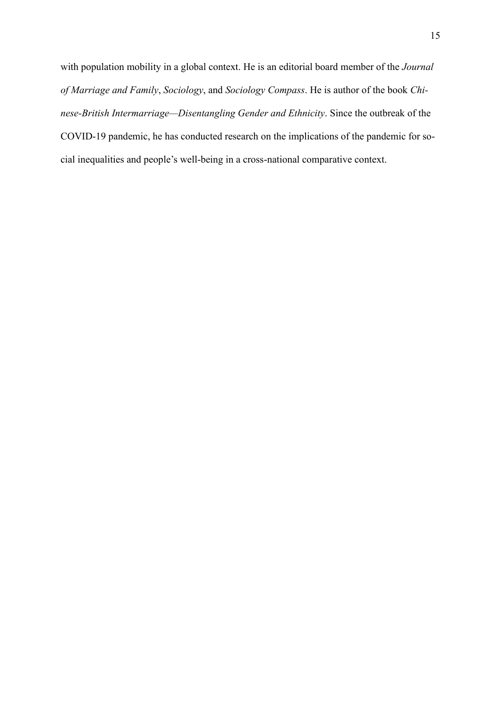with population mobility in a global context. He is an editorial board member of the *Journal of Marriage and Family*, *Sociology*, and *Sociology Compass*. He is author of the book *Chinese‐British Intermarriage—Disentangling Gender and Ethnicity*. Since the outbreak of the COVID-19 pandemic, he has conducted research on the implications of the pandemic for social inequalities and people's well-being in a cross-national comparative context.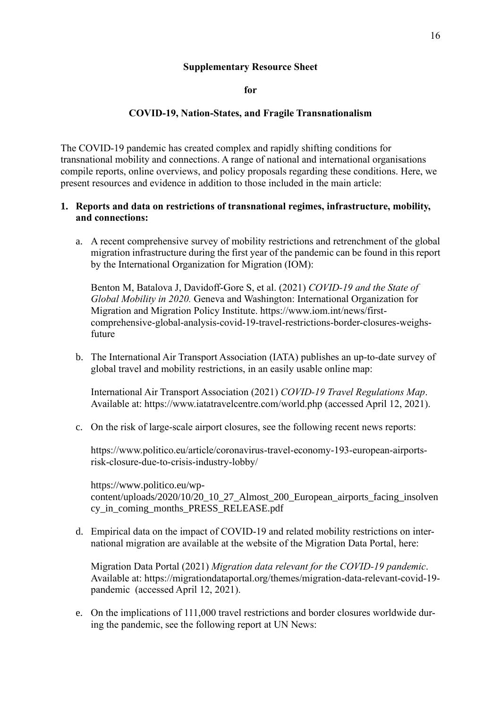## **Supplementary Resource Sheet**

**for** 

### **COVID-19, Nation-States, and Fragile Transnationalism**

The COVID-19 pandemic has created complex and rapidly shifting conditions for transnational mobility and connections. A range of national and international organisations compile reports, online overviews, and policy proposals regarding these conditions. Here, we present resources and evidence in addition to those included in the main article:

# **1. Reports and data on restrictions of transnational regimes, infrastructure, mobility, and connections:**

a. A recent comprehensive survey of mobility restrictions and retrenchment of the global migration infrastructure during the first year of the pandemic can be found in this report by the International Organization for Migration (IOM):

Benton M, Batalova J, Davidoff-Gore S, et al. (2021) *COVID-19 and the State of Global Mobility in 2020.* Geneva and Washington: International Organization for Migration and Migration Policy Institute. https://www.iom.int/news/firstcomprehensive-global-analysis-covid-19-travel-restrictions-border-closures-weighsfuture

b. The International Air Transport Association (IATA) publishes an up-to-date survey of global travel and mobility restrictions, in an easily usable online map:

International Air Transport Association (2021) *COVID-19 Travel Regulations Map*. Available at: https://www.iatatravelcentre.com/world.php (accessed April 12, 2021).

c. On the risk of large-scale airport closures, see the following recent news reports:

https://www.politico.eu/article/coronavirus-travel-economy-193-european-airportsrisk-closure-due-to-crisis-industry-lobby/

https://www.politico.eu/wpcontent/uploads/2020/10/20\_10\_27\_Almost\_200\_European\_airports\_facing\_insolven cy\_in\_coming\_months\_PRESS\_RELEASE.pdf

d. Empirical data on the impact of COVID-19 and related mobility restrictions on international migration are available at the website of the Migration Data Portal, here:

Migration Data Portal (2021) *Migration data relevant for the COVID-19 pandemic*. Available at: https://migrationdataportal.org/themes/migration-data-relevant-covid-19 pandemic (accessed April 12, 2021).

e. On the implications of 111,000 travel restrictions and border closures worldwide during the pandemic, see the following report at UN News: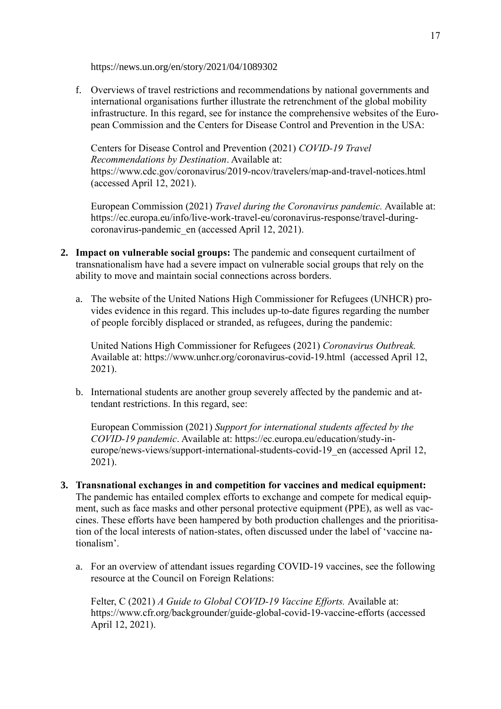https://news.un.org/en/story/2021/04/1089302

f. Overviews of travel restrictions and recommendations by national governments and international organisations further illustrate the retrenchment of the global mobility infrastructure. In this regard, see for instance the comprehensive websites of the European Commission and the Centers for Disease Control and Prevention in the USA:

Centers for Disease Control and Prevention (2021) *COVID-19 Travel Recommendations by Destination*. Available at: https://www.cdc.gov/coronavirus/2019-ncov/travelers/map-and-travel-notices.html (accessed April 12, 2021).

European Commission (2021) *Travel during the Coronavirus pandemic.* Available at: https://ec.europa.eu/info/live-work-travel-eu/coronavirus-response/travel-duringcoronavirus-pandemic\_en (accessed April 12, 2021).

- **2. Impact on vulnerable social groups:** The pandemic and consequent curtailment of transnationalism have had a severe impact on vulnerable social groups that rely on the ability to move and maintain social connections across borders.
	- a. The website of the United Nations High Commissioner for Refugees (UNHCR) provides evidence in this regard. This includes up-to-date figures regarding the number of people forcibly displaced or stranded, as refugees, during the pandemic:

United Nations High Commissioner for Refugees (2021) *Coronavirus Outbreak.*  Available at: https://www.unhcr.org/coronavirus-covid-19.html (accessed April 12, 2021).

b. International students are another group severely affected by the pandemic and attendant restrictions. In this regard, see:

European Commission (2021) *Support for international students affected by the COVID-19 pandemic*. Available at: https://ec.europa.eu/education/study-ineurope/news-views/support-international-students-covid-19\_en (accessed April 12, 2021).

- **3. Transnational exchanges in and competition for vaccines and medical equipment:**  The pandemic has entailed complex efforts to exchange and compete for medical equipment, such as face masks and other personal protective equipment (PPE), as well as vaccines. These efforts have been hampered by both production challenges and the prioritisation of the local interests of nation-states, often discussed under the label of 'vaccine nationalism'.
	- a. For an overview of attendant issues regarding COVID-19 vaccines, see the following resource at the Council on Foreign Relations:

Felter, C (2021) *A Guide to Global COVID-19 Vaccine Efforts.* Available at: https://www.cfr.org/backgrounder/guide-global-covid-19-vaccine-efforts (accessed April 12, 2021).